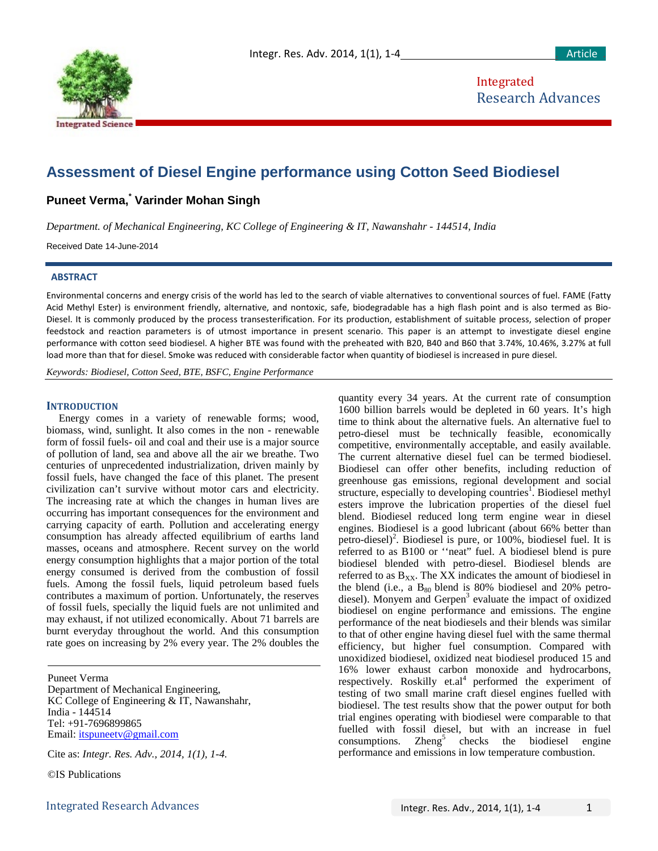

# **Assessment of Diesel Engine performance using Cotton Seed Biodiesel**

## **Puneet Verma, \* Varinder Mohan Singh**

*Department. of Mechanical Engineering, KC College of Engineering & IT, Nawanshahr - 144514, India*

Received Date 14-June-2014

#### **ABSTRACT**

Environmental concerns and energy crisis of the world has led to the search of viable alternatives to conventional sources of fuel. FAME (Fatty Acid Methyl Ester) is environment friendly, alternative, and nontoxic, safe, biodegradable has a high flash point and is also termed as Bio-Diesel. It is commonly produced by the process transesterification. For its production, establishment of suitable process, selection of proper feedstock and reaction parameters is of utmost importance in present scenario. This paper is an attempt to investigate diesel engine performance with cotton seed biodiesel. A higher BTE was found with the preheated with B20, B40 and B60 that 3.74%, 10.46%, 3.27% at full load more than that for diesel. Smoke was reduced with considerable factor when quantity of biodiesel is increased in pure diesel.

*Keywords: Biodiesel, Cotton Seed, BTE, BSFC, Engine Performance*

## **INTRODUCTION**

Energy comes in a variety of renewable forms; wood, biomass, wind, sunlight. It also comes in the non - renewable form of fossil fuels- oil and coal and their use is a major source of pollution of land, sea and above all the air we breathe. Two centuries of unprecedented industrialization, driven mainly by fossil fuels, have changed the face of this planet. The present civilization can't survive without motor cars and electricity. The increasing rate at which the changes in human lives are occurring has important consequences for the environment and carrying capacity of earth. Pollution and accelerating energy consumption has already affected equilibrium of earths land masses, oceans and atmosphere. Recent survey on the world energy consumption highlights that a major portion of the total energy consumed is derived from the combustion of fossil fuels. Among the fossil fuels, liquid petroleum based fuels contributes a maximum of portion. Unfortunately, the reserves of fossil fuels, specially the liquid fuels are not unlimited and may exhaust, if not utilized economically. About 71 barrels are burnt everyday throughout the world. And this consumption rate goes on increasing by 2% every year. The 2% doubles the

Puneet Verma Department of Mechanical Engineering, KC College of Engineering & IT, Nawanshahr, India - 144514 Tel: +91-7696899865 Email: [itspuneetv@gmail.com](mailto:itspuneetv@gmail.com)

Cite as: *Integr. Res. Adv., 2014, 1(1), 1-4.*

©IS Publications

quantity every 34 years. At the current rate of consumption 1600 billion barrels would be depleted in 60 years. It's high time to think about the alternative fuels. An alternative fuel to petro-diesel must be technically feasible, economically competitive, environmentally acceptable, and easily available. The current alternative diesel fuel can be termed biodiesel. Biodiesel can offer other benefits, including reduction of greenhouse gas emissions, regional development and social structure, especially to developing countries<sup>1</sup>. Biodiesel methyl esters improve the lubrication properties of the diesel fuel blend. Biodiesel reduced long term engine wear in diesel engines. Biodiesel is a good lubricant (about 66% better than petro-diesel)<sup>2</sup>. Biodiesel is pure, or 100%, biodiesel fuel. It is referred to as B100 or ''neat" fuel. A biodiesel blend is pure biodiesel blended with petro-diesel. Biodiesel blends are referred to as  $B_{XX}$ . The XX indicates the amount of biodiesel in the blend (i.e., a  $B_{80}$  blend is 80% biodiesel and 20% petrodiesel). Monyem and Gerpen<sup>3</sup> evaluate the impact of oxidized biodiesel on engine performance and emissions. The engine performance of the neat biodiesels and their blends was similar to that of other engine having diesel fuel with the same thermal efficiency, but higher fuel consumption. Compared with unoxidized biodiesel, oxidized neat biodiesel produced 15 and 16% lower exhaust carbon monoxide and hydrocarbons, respectively. Roskilly et.al<sup>4</sup> performed the experiment of testing of two small marine craft diesel engines fuelled with biodiesel. The test results show that the power output for both trial engines operating with biodiesel were comparable to that fuelled with fossil diesel, but with an increase in fuel  $consumptions.$  Zheng<sup>5</sup> checks the biodiesel engine performance and emissions in low temperature combustion.

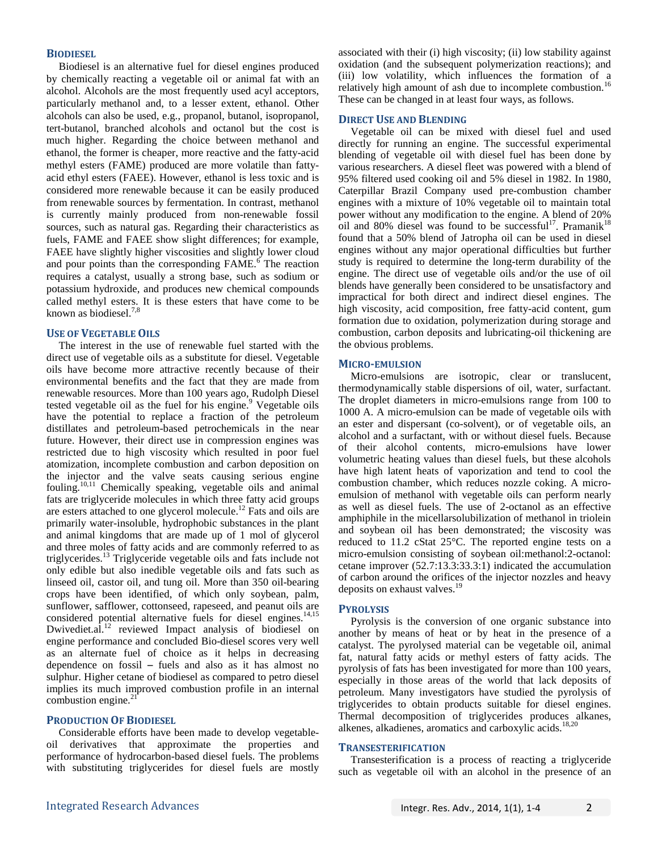## **BIODIESEL**

Biodiesel is an alternative fuel for diesel engines produced by chemically reacting a vegetable oil or animal fat with an alcohol. Alcohols are the most frequently used acyl acceptors, particularly methanol and, to a lesser extent, ethanol. Other alcohols can also be used, e.g., propanol, butanol, isopropanol, tert-butanol, branched alcohols and octanol but the cost is much higher. Regarding the choice between methanol and ethanol, the former is cheaper, more reactive and the fatty-acid methyl esters (FAME) produced are more volatile than fattyacid ethyl esters (FAEE). However, ethanol is less toxic and is considered more renewable because it can be easily produced from renewable sources by fermentation. In contrast, methanol is currently mainly produced from non-renewable fossil sources, such as natural gas. Regarding their characteristics as fuels, FAME and FAEE show slight differences; for example, FAEE have slightly higher viscosities and slightly lower cloud and pour points than the corresponding FAME.<sup>6</sup> The reaction requires a catalyst, usually a strong base, such as sodium or potassium hydroxide, and produces new chemical compounds called methyl esters. It is these esters that have come to be known as biodiesel. $7,8$ 

## **USE OF VEGETABLE OILS**

The interest in the use of renewable fuel started with the direct use of vegetable oils as a substitute for diesel. Vegetable oils have become more attractive recently because of their environmental benefits and the fact that they are made from renewable resources. More than 100 years ago, Rudolph Diesel tested vegetable oil as the fuel for his engine. <sup>9</sup> Vegetable oils have the potential to replace a fraction of the petroleum distillates and petroleum-based petrochemicals in the near future. However, their direct use in compression engines was restricted due to high viscosity which resulted in poor fuel atomization, incomplete combustion and carbon deposition on the injector and the valve seats causing serious engine fouling.<sup>10,11</sup> Chemically speaking, vegetable oils and animal fats are triglyceride molecules in which three fatty acid groups are esters attached to one glycerol molecule.<sup>12</sup> Fats and oils are primarily water-insoluble, hydrophobic substances in the plant and animal kingdoms that are made up of 1 mol of glycerol and three moles of fatty acids and are commonly referred to as triglycerides. <sup>13</sup> Triglyceride vegetable oils and fats include not only edible but also inedible vegetable oils and fats such as linseed oil, castor oil, and tung oil. More than 350 oil-bearing crops have been identified, of which only soybean, palm, sunflower, safflower, cottonseed, rapeseed, and peanut oils are considered potential alternative fuels for diesel engines.<sup>14,15</sup> Dwivediet.al.<sup>12</sup> reviewed Impact analysis of biodiesel on engine performance and concluded Bio-diesel scores very well as an alternate fuel of choice as it helps in decreasing dependence on fossil – fuels and also as it has almost no sulphur. Higher cetane of biodiesel as compared to petro diesel implies its much improved combustion profile in an internal combustion engine.<sup>21</sup>

## **PRODUCTION OF BIODIESEL**

Considerable efforts have been made to develop vegetableoil derivatives that approximate the properties and performance of hydrocarbon-based diesel fuels. The problems with substituting triglycerides for diesel fuels are mostly associated with their (i) high viscosity; (ii) low stability against oxidation (and the subsequent polymerization reactions); and (iii) low volatility, which influences the formation of a relatively high amount of ash due to incomplete combustion.<sup>16</sup> These can be changed in at least four ways, as follows.

#### **DIRECT USE AND BLENDING**

Vegetable oil can be mixed with diesel fuel and used directly for running an engine. The successful experimental blending of vegetable oil with diesel fuel has been done by various researchers. A diesel fleet was powered with a blend of 95% filtered used cooking oil and 5% diesel in 1982. In 1980, Caterpillar Brazil Company used pre-combustion chamber engines with a mixture of 10% vegetable oil to maintain total power without any modification to the engine. A blend of 20% oil and 80% diesel was found to be successful<sup>17</sup>. Pramanik<sup>18</sup> found that a 50% blend of Jatropha oil can be used in diesel engines without any major operational difficulties but further study is required to determine the long-term durability of the engine. The direct use of vegetable oils and/or the use of oil blends have generally been considered to be unsatisfactory and impractical for both direct and indirect diesel engines. The high viscosity, acid composition, free fatty-acid content, gum formation due to oxidation, polymerization during storage and combustion, carbon deposits and lubricating-oil thickening are the obvious problems.

## **MICRO-EMULSION**

Micro-emulsions are isotropic, clear or translucent, thermodynamically stable dispersions of oil, water, surfactant. The droplet diameters in micro-emulsions range from 100 to 1000 A. A micro-emulsion can be made of vegetable oils with an ester and dispersant (co-solvent), or of vegetable oils, an alcohol and a surfactant, with or without diesel fuels. Because of their alcohol contents, micro-emulsions have lower volumetric heating values than diesel fuels, but these alcohols have high latent heats of vaporization and tend to cool the combustion chamber, which reduces nozzle coking. A microemulsion of methanol with vegetable oils can perform nearly as well as diesel fuels. The use of 2-octanol as an effective amphiphile in the micellarsolubilization of methanol in triolein and soybean oil has been demonstrated; the viscosity was reduced to 11.2 cStat 25°C. The reported engine tests on a micro-emulsion consisting of soybean oil:methanol:2-octanol: cetane improver (52.7:13.3:33.3:1) indicated the accumulation of carbon around the orifices of the injector nozzles and heavy deposits on exhaust valves.<sup>19</sup>

## **PYROLYSIS**

Pyrolysis is the conversion of one organic substance into another by means of heat or by heat in the presence of a catalyst. The pyrolysed material can be vegetable oil, animal fat, natural fatty acids or methyl esters of fatty acids. The pyrolysis of fats has been investigated for more than 100 years, especially in those areas of the world that lack deposits of petroleum. Many investigators have studied the pyrolysis of triglycerides to obtain products suitable for diesel engines. Thermal decomposition of triglycerides produces alkanes, alkenes, alkadienes, aromatics and carboxylic acids. 18,20

#### **TRANSESTERIFICATION**

Transesterification is a process of reacting a triglyceride such as vegetable oil with an alcohol in the presence of an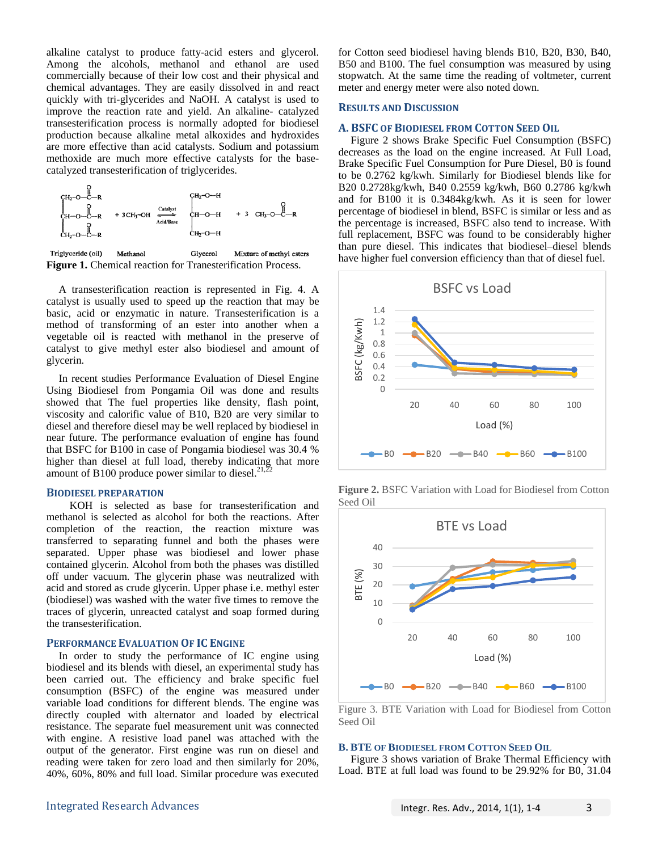alkaline catalyst to produce fatty-acid esters and glycerol. Among the alcohols, methanol and ethanol are used commercially because of their low cost and their physical and chemical advantages. They are easily dissolved in and react quickly with tri-glycerides and NaOH. A catalyst is used to improve the reaction rate and yield. An alkaline- catalyzed transesterification process is normally adopted for biodiesel production because alkaline metal alkoxides and hydroxides are more effective than acid catalysts. Sodium and potassium methoxide are much more effective catalysts for the basecatalyzed transesterification of triglycerides.



Triglyceride (oil) Methanol Glycerol Mixture of methyl esters **Figure 1.** Chemical reaction for Tranesterification Process.

A transesterification reaction is represented in Fig. 4. A catalyst is usually used to speed up the reaction that may be basic, acid or enzymatic in nature. Transesterification is a method of transforming of an ester into another when a vegetable oil is reacted with methanol in the preserve of catalyst to give methyl ester also biodiesel and amount of glycerin.

In recent studies Performance Evaluation of Diesel Engine Using Biodiesel from Pongamia Oil was done and results showed that The fuel properties like density, flash point, viscosity and calorific value of B10, B20 are very similar to diesel and therefore diesel may be well replaced by biodiesel in near future. The performance evaluation of engine has found that BSFC for B100 in case of Pongamia biodiesel was 30.4 % higher than diesel at full load, thereby indicating that more amount of B100 produce power similar to diesel. $^{21,2}$ 

### **BIODIESEL PREPARATION**

 KOH is selected as base for transesterification and methanol is selected as alcohol for both the reactions. After completion of the reaction, the reaction mixture was transferred to separating funnel and both the phases were separated. Upper phase was biodiesel and lower phase contained glycerin. Alcohol from both the phases was distilled off under vacuum. The glycerin phase was neutralized with acid and stored as crude glycerin. Upper phase i.e. methyl ester (biodiesel) was washed with the water five times to remove the traces of glycerin, unreacted catalyst and soap formed during the transesterification.

#### **PERFORMANCE EVALUATION OF IC ENGINE**

In order to study the performance of IC engine using biodiesel and its blends with diesel, an experimental study has been carried out. The efficiency and brake specific fuel consumption (BSFC) of the engine was measured under variable load conditions for different blends. The engine was directly coupled with alternator and loaded by electrical resistance. The separate fuel measurement unit was connected with engine. A resistive load panel was attached with the output of the generator. First engine was run on diesel and reading were taken for zero load and then similarly for 20%, 40%, 60%, 80% and full load. Similar procedure was executed

for Cotton seed biodiesel having blends B10, B20, B30, B40, B50 and B100. The fuel consumption was measured by using stopwatch. At the same time the reading of voltmeter, current meter and energy meter were also noted down.

#### **RESULTS AND DISCUSSION**

#### **A. BSFC OF BIODIESEL FROM COTTON SEED OIL**

Figure 2 shows Brake Specific Fuel Consumption (BSFC) decreases as the load on the engine increased. At Full Load, Brake Specific Fuel Consumption for Pure Diesel, B0 is found to be 0.2762 kg/kwh. Similarly for Biodiesel blends like for B20 0.2728kg/kwh, B40 0.2559 kg/kwh, B60 0.2786 kg/kwh and for B100 it is 0.3484kg/kwh. As it is seen for lower percentage of biodiesel in blend, BSFC is similar or less and as the percentage is increased, BSFC also tend to increase. With full replacement, BSFC was found to be considerably higher than pure diesel. This indicates that biodiesel–diesel blends have higher fuel conversion efficiency than that of diesel fuel.



**Figure 2.** BSFC Variation with Load for Biodiesel from Cotton Seed Oil



Figure 3. BTE Variation with Load for Biodiesel from Cotton Seed Oil

#### **B. BTE OF BIODIESEL FROM COTTON SEED OIL**

Figure 3 shows variation of Brake Thermal Efficiency with Load. BTE at full load was found to be 29.92% for B0, 31.04